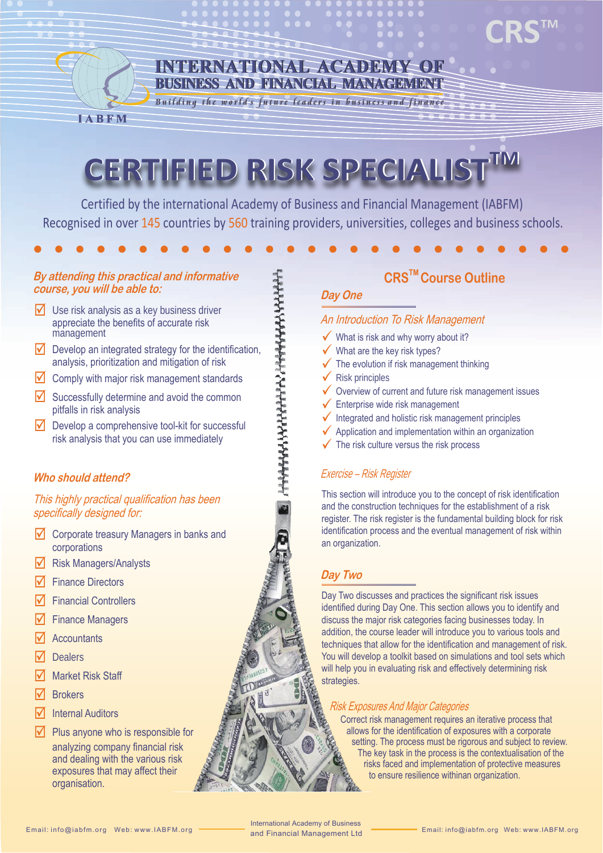

#### **INTERNATIONAL ACADEMY OF BUSINESS AND FINANCIAL MANAGEMENT**

Building the world's future leaders in business and finance

# **CERTIFIED RISK SPECIALISTTM CERTIFIED RISK SPECIALISTTM**

Certified by the international Academy of Business and Financial Management (IABFM) Recognised in over 145 countries by 560 training providers, universities, colleges and business schools.

, 22344445344444424444444444444

#### **By attending this practical and informative course, you will be able to:**

- $\sqrt{\phantom{a}}$  Use risk analysis as a key business driver appreciate the benefits of accurate risk management
- $\triangledown$  Develop an integrated strategy for the identification, analysis, prioritization and mitigation of risk
- $\sqrt{\phantom{a}}$  Comply with major risk management standards
- $\sqrt{\phantom{a}}$  Successfully determine and avoid the common pitfalls in risk analysis
- $\sqrt{\phantom{a}}$  Develop a comprehensive tool-kit for successful risk analysis that you can use immediately

#### **Who should attend?**

#### This highly practical qualification has been specifically designed for:

- $\sqrt{\phantom{a}}$  Corporate treasury Managers in banks and corporations
- $\sqrt{\phantom{a}}$  Risk Managers/Analysts
- **Finance Directors**
- **Financial Controllers**
- $\sqrt{ }$  Finance Managers
- **Accountants**
- **Dealers**
- Market Risk Staff
- **Brokers**
- $\overline{\mathsf{M}}$  Internal Auditors
- $\triangledown$  Plus anyone who is responsible for analyzing company financial risk and dealing with the various risk exposures that may affect their organisation.

#### **CRSTM Course Outline**

**CRSTM**

#### **Day One**

#### An Introduction To Risk Management

- $\checkmark$  What is risk and why worry about it?
- $\checkmark$  What are the key risk types?
- $\checkmark$  The evolution if risk management thinking
- $\sqrt{\phantom{a}}$  Risk principles
- $\checkmark$  Overview of current and future risk management issues
- $\sqrt{\ }$  Enterprise wide risk management
- $\sqrt{\ }$  Integrated and holistic risk management principles
- $\sqrt{\phantom{a}}$  Application and implementation within an organization
- $\checkmark$  The risk culture versus the risk process

#### Exercise – Risk Register

This section will introduce you to the concept of risk identification and the construction techniques for the establishment of a risk register. The risk register is the fundamental building block for risk identification process and the eventual management of risk within an organization.

#### **Day Two**

Day Two discusses and practices the significant risk issues identified during Day One. This section allows you to identify and discuss the major risk categories facing businesses today. In addition, the course leader will introduce you to various tools and techniques that allow for the identification and management of risk. You will develop a toolkit based on simulations and tool sets which will help you in evaluating risk and effectively determining risk strategies.

#### Risk Exposures And Major Categories

Correct risk management requires an iterative process that allows for the identification of exposures with a corporate setting. The process must be rigorous and subject to review. The key task in the process is the contextualisation of the risks faced and implementation of protective measures to ensure resilience withinan organization.